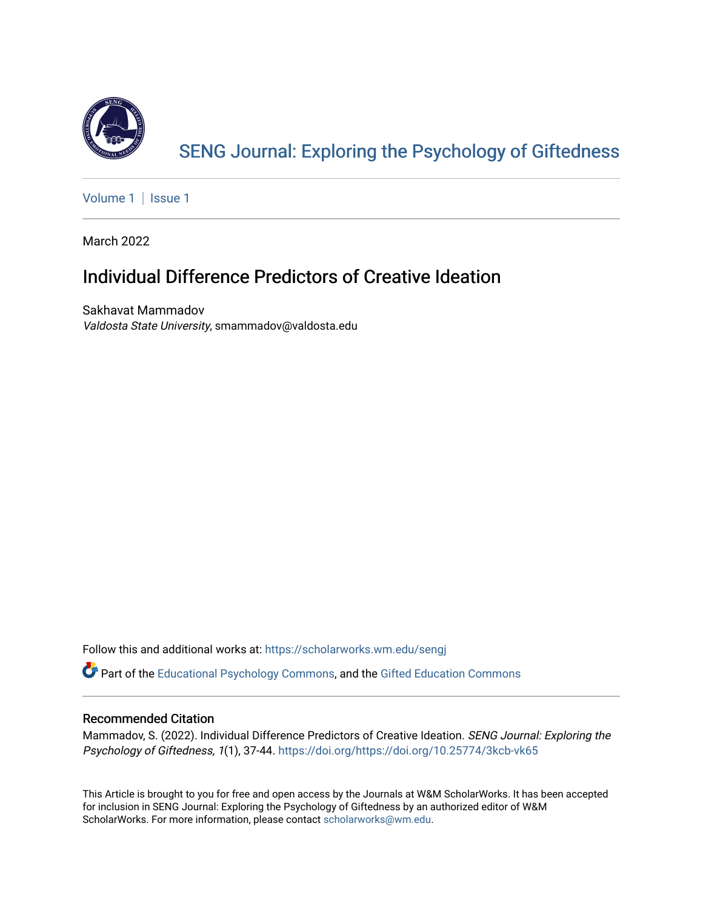

[SENG Journal: Exploring the Psychology of Giftedness](https://scholarworks.wm.edu/sengj) 

[Volume 1](https://scholarworks.wm.edu/sengj/vol1) | Issue 1

March 2022

# Individual Difference Predictors of Creative Ideation

Sakhavat Mammadov Valdosta State University, smammadov@valdosta.edu

Follow this and additional works at: [https://scholarworks.wm.edu/sengj](https://scholarworks.wm.edu/sengj?utm_source=scholarworks.wm.edu%2Fsengj%2Fvol1%2Fiss1%2F6&utm_medium=PDF&utm_campaign=PDFCoverPages)

Part of the [Educational Psychology Commons,](http://network.bepress.com/hgg/discipline/798?utm_source=scholarworks.wm.edu%2Fsengj%2Fvol1%2Fiss1%2F6&utm_medium=PDF&utm_campaign=PDFCoverPages) and the [Gifted Education Commons](http://network.bepress.com/hgg/discipline/1048?utm_source=scholarworks.wm.edu%2Fsengj%2Fvol1%2Fiss1%2F6&utm_medium=PDF&utm_campaign=PDFCoverPages) 

### Recommended Citation

Mammadov, S. (2022). Individual Difference Predictors of Creative Ideation. SENG Journal: Exploring the Psychology of Giftedness, 1(1), 37-44. https://doi.org/https://doi.org/10.25774/3kcb-vk65

This Article is brought to you for free and open access by the Journals at W&M ScholarWorks. It has been accepted for inclusion in SENG Journal: Exploring the Psychology of Giftedness by an authorized editor of W&M ScholarWorks. For more information, please contact [scholarworks@wm.edu.](mailto:scholarworks@wm.edu)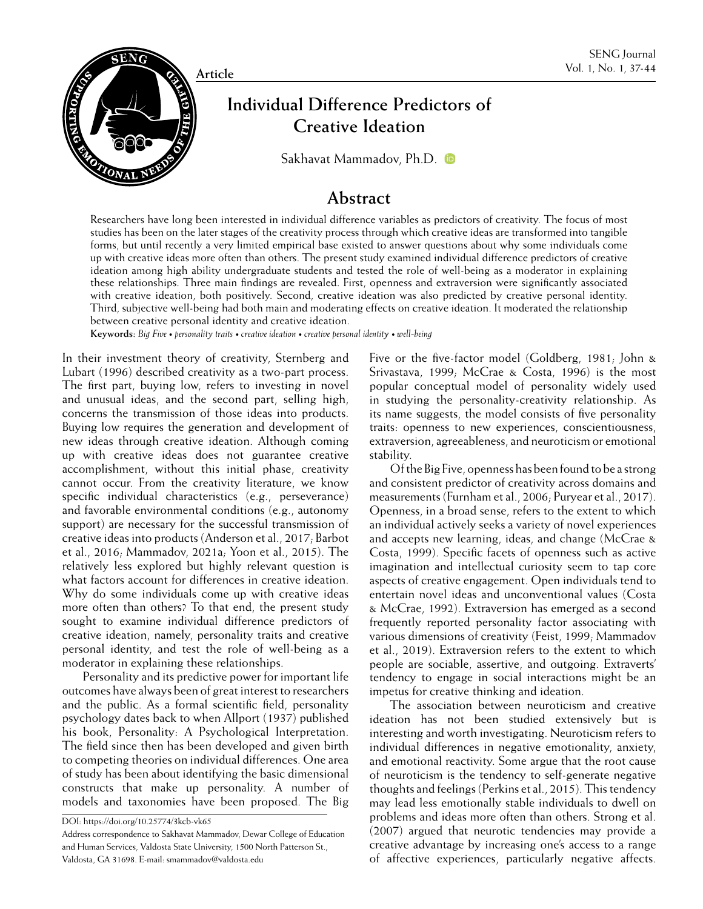

**Creative Ideation**

[Sakhavat Mammadov, Ph.D.](https://orcid.org/0000-0001-5890-211X)

### **Abstract**

Researchers have long been interested in individual difference variables as predictors of creativity. The focus of most studies has been on the later stages of the creativity process through which creative ideas are transformed into tangible forms, but until recently a very limited empirical base existed to answer questions about why some individuals come up with creative ideas more often than others. The present study examined individual difference predictors of creative ideation among high ability undergraduate students and tested the role of well-being as a moderator in explaining these relationships. Three main findings are revealed. First, openness and extraversion were significantly associated with creative ideation, both positively. Second, creative ideation was also predicted by creative personal identity. Third, subjective well-being had both main and moderating effects on creative ideation. It moderated the relationship between creative personal identity and creative ideation.

**Keywords:** *Big Five • personality traits • creative ideation • creative personal identity • well-being*

In their investment theory of creativity, Sternberg and Lubart (1996) described creativity as a two-part process. The first part, buying low, refers to investing in novel and unusual ideas, and the second part, selling high, concerns the transmission of those ideas into products. Buying low requires the generation and development of new ideas through creative ideation. Although coming up with creative ideas does not guarantee creative accomplishment, without this initial phase, creativity cannot occur. From the creativity literature, we know specific individual characteristics (e.g., perseverance) and favorable environmental conditions (e.g., autonomy support) are necessary for the successful transmission of creative ideas into products (Anderson et al., 2017; Barbot et al., 2016; Mammadov, 2021a; Yoon et al., 2015). The relatively less explored but highly relevant question is what factors account for differences in creative ideation. Why do some individuals come up with creative ideas more often than others? To that end, the present study sought to examine individual difference predictors of creative ideation, namely, personality traits and creative personal identity, and test the role of well-being as a moderator in explaining these relationships.

Personality and its predictive power for important life outcomes have always been of great interest to researchers and the public. As a formal scientific field, personality psychology dates back to when Allport (1937) published his book, Personality: A Psychological Interpretation. The field since then has been developed and given birth to competing theories on individual differences. One area of study has been about identifying the basic dimensional constructs that make up personality. A number of models and taxonomies have been proposed. The Big Five or the five-factor model (Goldberg, 1981; John & Srivastava, 1999; McCrae & Costa, 1996) is the most popular conceptual model of personality widely used in studying the personality-creativity relationship. As its name suggests, the model consists of five personality traits: openness to new experiences, conscientiousness, extraversion, agreeableness, and neuroticism or emotional stability.

Of the Big Five, openness has been found to be a strong and consistent predictor of creativity across domains and measurements (Furnham et al., 2006; Puryear et al., 2017). Openness, in a broad sense, refers to the extent to which an individual actively seeks a variety of novel experiences and accepts new learning, ideas, and change (McCrae & Costa, 1999). Specific facets of openness such as active imagination and intellectual curiosity seem to tap core aspects of creative engagement. Open individuals tend to entertain novel ideas and unconventional values (Costa & McCrae, 1992). Extraversion has emerged as a second frequently reported personality factor associating with various dimensions of creativity (Feist, 1999; Mammadov et al., 2019). Extraversion refers to the extent to which people are sociable, assertive, and outgoing. Extraverts' tendency to engage in social interactions might be an impetus for creative thinking and ideation.

The association between neuroticism and creative ideation has not been studied extensively but is interesting and worth investigating. Neuroticism refers to individual differences in negative emotionality, anxiety, and emotional reactivity. Some argue that the root cause of neuroticism is the tendency to self-generate negative thoughts and feelings (Perkins et al., 2015). This tendency may lead less emotionally stable individuals to dwell on problems and ideas more often than others. Strong et al. (2007) argued that neurotic tendencies may provide a creative advantage by increasing one's access to a range of affective experiences, particularly negative affects.

DOI: https://doi.org/10.25774/3kcb-vk65

Address correspondence to Sakhavat Mammadov, Dewar College of Education and Human Services, Valdosta State University, 1500 North Patterson St., Valdosta, GA 31698. E-mail: smammadov@valdosta.edu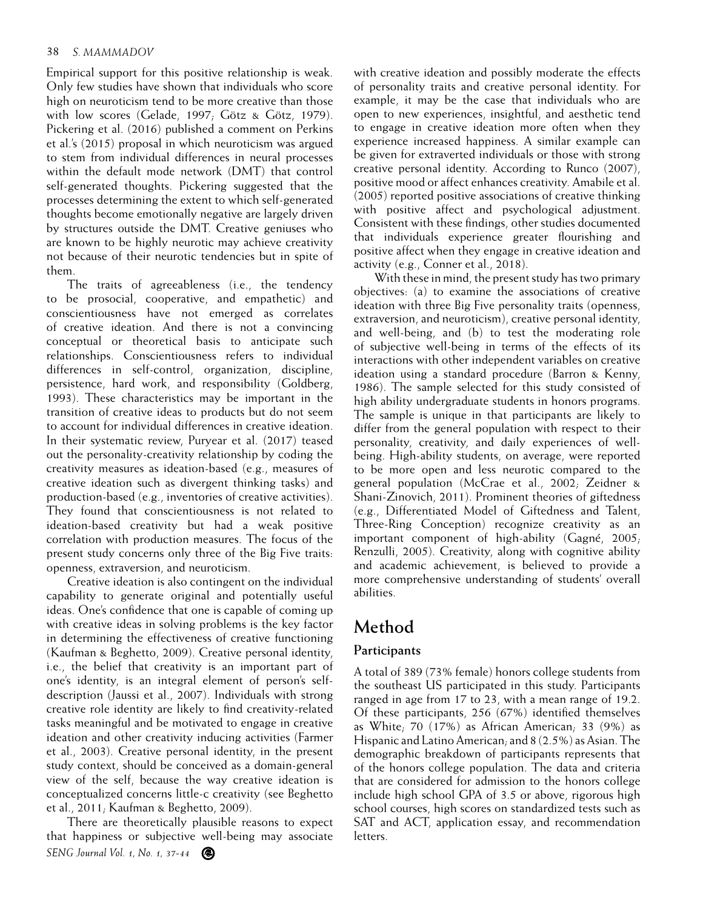#### 38 *S. MAMMADOV*

Empirical support for this positive relationship is weak. Only few studies have shown that individuals who score high on neuroticism tend to be more creative than those with low scores (Gelade, 1997; Götz & Götz, 1979). Pickering et al. (2016) published a comment on Perkins et al.'s (2015) proposal in which neuroticism was argued to stem from individual differences in neural processes within the default mode network (DMT) that control self-generated thoughts. Pickering suggested that the processes determining the extent to which self-generated thoughts become emotionally negative are largely driven by structures outside the DMT. Creative geniuses who are known to be highly neurotic may achieve creativity not because of their neurotic tendencies but in spite of them.

The traits of agreeableness (i.e., the tendency to be prosocial, cooperative, and empathetic) and conscientiousness have not emerged as correlates of creative ideation. And there is not a convincing conceptual or theoretical basis to anticipate such relationships. Conscientiousness refers to individual differences in self-control, organization, discipline, persistence, hard work, and responsibility (Goldberg, 1993). These characteristics may be important in the transition of creative ideas to products but do not seem to account for individual differences in creative ideation. In their systematic review, Puryear et al. (2017) teased out the personality-creativity relationship by coding the creativity measures as ideation-based (e.g., measures of creative ideation such as divergent thinking tasks) and production-based (e.g., inventories of creative activities). They found that conscientiousness is not related to ideation-based creativity but had a weak positive correlation with production measures. The focus of the present study concerns only three of the Big Five traits: openness, extraversion, and neuroticism.

Creative ideation is also contingent on the individual capability to generate original and potentially useful ideas. One's confidence that one is capable of coming up with creative ideas in solving problems is the key factor in determining the effectiveness of creative functioning (Kaufman & Beghetto, 2009). Creative personal identity, i.e., the belief that creativity is an important part of one's identity, is an integral element of person's selfdescription (Jaussi et al., 2007). Individuals with strong creative role identity are likely to find creativity-related tasks meaningful and be motivated to engage in creative ideation and other creativity inducing activities (Farmer et al., 2003). Creative personal identity, in the present study context, should be conceived as a domain-general view of the self, because the way creative ideation is conceptualized concerns little-c creativity (see Beghetto et al., 2011; Kaufman & Beghetto, 2009).

*SENG Journal Vol. 1, No. 1, 37-44* There are theoretically plausible reasons to expect that happiness or subjective well-being may associate with creative ideation and possibly moderate the effects of personality traits and creative personal identity. For example, it may be the case that individuals who are open to new experiences, insightful, and aesthetic tend to engage in creative ideation more often when they experience increased happiness. A similar example can be given for extraverted individuals or those with strong creative personal identity. According to Runco (2007), positive mood or affect enhances creativity. Amabile et al. (2005) reported positive associations of creative thinking with positive affect and psychological adjustment. Consistent with these findings, other studies documented that individuals experience greater flourishing and positive affect when they engage in creative ideation and activity (e.g., Conner et al., 2018).

With these in mind, the present study has two primary objectives: (a) to examine the associations of creative ideation with three Big Five personality traits (openness, extraversion, and neuroticism), creative personal identity, and well-being, and (b) to test the moderating role of subjective well-being in terms of the effects of its interactions with other independent variables on creative ideation using a standard procedure (Barron & Kenny, 1986). The sample selected for this study consisted of high ability undergraduate students in honors programs. The sample is unique in that participants are likely to differ from the general population with respect to their personality, creativity, and daily experiences of wellbeing. High-ability students, on average, were reported to be more open and less neurotic compared to the general population (McCrae et al., 2002; Zeidner & Shani-Zinovich, 2011). Prominent theories of giftedness (e.g., Differentiated Model of Giftedness and Talent, Three-Ring Conception) recognize creativity as an important component of high-ability (Gagné, 2005; Renzulli, 2005). Creativity, along with cognitive ability and academic achievement, is believed to provide a more comprehensive understanding of students' overall abilities.

# **Method**

### **Participants**

A total of 389 (73% female) honors college students from the southeast US participated in this study. Participants ranged in age from 17 to 23, with a mean range of 19.2. Of these participants, 256 (67%) identified themselves as White; 70 (17%) as African American; 33 (9%) as Hispanic and Latino American; and 8 (2.5%) as Asian. The demographic breakdown of participants represents that of the honors college population. The data and criteria that are considered for admission to the honors college include high school GPA of 3.5 or above, rigorous high school courses, high scores on standardized tests such as SAT and ACT, application essay, and recommendation letters.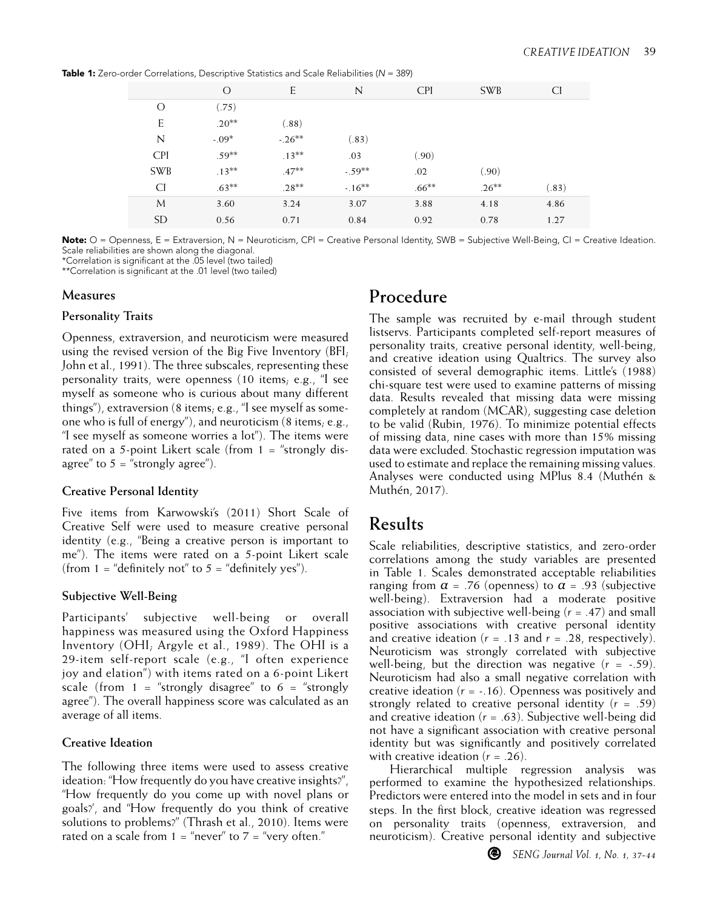Table 1: Zero-order Correlations, Descriptive Statistics and Scale Reliabilities (*N* = 389)

| $\frac{1}{2}$ correlations, Descriptive statistics and search chapmens (iv $\frac{1}{2}$ or $\frac{1}{2}$ |          |          |             |            |            |       |  |  |  |  |
|-----------------------------------------------------------------------------------------------------------|----------|----------|-------------|------------|------------|-------|--|--|--|--|
|                                                                                                           | O        | E        | $\mathbb N$ | <b>CPI</b> | <b>SWB</b> | CI.   |  |  |  |  |
| $\Omega$                                                                                                  | (.75)    |          |             |            |            |       |  |  |  |  |
| E                                                                                                         | $.20**$  | (.88)    |             |            |            |       |  |  |  |  |
| N                                                                                                         | $-.09*$  | $-.26**$ | (.83)       |            |            |       |  |  |  |  |
| <b>CPI</b>                                                                                                | $.59***$ | $.13***$ | .03         | (.90)      |            |       |  |  |  |  |
| <b>SWB</b>                                                                                                | $.13***$ | $.47***$ | $-.59**$    | .02        | (.90)      |       |  |  |  |  |
| <b>CI</b>                                                                                                 | $.63***$ | $.28**$  | $-.16***$   | $.66***$   | $.26***$   | (.83) |  |  |  |  |
| M                                                                                                         | 3.60     | 3.24     | 3.07        | 3.88       | 4.18       | 4.86  |  |  |  |  |
| <b>SD</b>                                                                                                 | 0.56     | 0.71     | 0.84        | 0.92       | 0.78       | 1.27  |  |  |  |  |

Note: O = Openness, E = Extraversion, N = Neuroticism, CPI = Creative Personal Identity, SWB = Subjective Well-Being, CI = Creative Ideation. Scale reliabilities are shown along the diagonal.

\*Correlation is significant at the .05 level (two tailed)

\*\*Correlation is significant at the .01 level (two tailed)

#### **Measures**

#### **Personality Traits**

Openness, extraversion, and neuroticism were measured using the revised version of the Big Five Inventory (BFI; John et al., 1991). The three subscales, representing these personality traits, were openness (10 items; e.g., "I see myself as someone who is curious about many different things"), extraversion (8 items; e.g., "I see myself as someone who is full of energy"), and neuroticism (8 items; e.g., "I see myself as someone worries a lot"). The items were rated on a 5-point Likert scale (from  $1 =$  "strongly disagree" to  $5 =$  "strongly agree").

### **Creative Personal Identity**

Five items from Karwowski's (2011) Short Scale of Creative Self were used to measure creative personal identity (e.g., "Being a creative person is important to me"). The items were rated on a 5-point Likert scale (from  $1 =$  "definitely not" to  $5 =$  "definitely yes").

### **Subjective Well-Being**

Participants' subjective well-being or overall happiness was measured using the Oxford Happiness Inventory (OHI; Argyle et al., 1989). The OHI is a 29-item self-report scale (e.g., "I often experience joy and elation") with items rated on a 6-point Likert scale (from  $1 =$  "strongly disagree" to  $6 =$  "strongly agree"). The overall happiness score was calculated as an average of all items.

### **Creative Ideation**

The following three items were used to assess creative ideation: "How frequently do you have creative insights?", "How frequently do you come up with novel plans or goals?', and "How frequently do you think of creative solutions to problems?" (Thrash et al., 2010). Items were rated on a scale from  $1 =$  "never" to  $7 =$  "very often."

# **Procedure**

The sample was recruited by e-mail through student listservs. Participants completed self-report measures of personality traits, creative personal identity, well-being, and creative ideation using Qualtrics. The survey also consisted of several demographic items. Little's (1988) chi-square test were used to examine patterns of missing data. Results revealed that missing data were missing completely at random (MCAR), suggesting case deletion to be valid (Rubin, 1976). To minimize potential effects of missing data, nine cases with more than 15% missing data were excluded. Stochastic regression imputation was used to estimate and replace the remaining missing values. Analyses were conducted using MPlus 8.4 (Muthén & Muthén, 2017).

# **Results**

Scale reliabilities, descriptive statistics, and zero-order correlations among the study variables are presented in Table 1. Scales demonstrated acceptable reliabilities ranging from  $\alpha$  = .76 (openness) to  $\alpha$  = .93 (subjective well-being). Extraversion had a moderate positive association with subjective well-being (*r* = .47) and small positive associations with creative personal identity and creative ideation ( $r = .13$  and  $r = .28$ , respectively). Neuroticism was strongly correlated with subjective well-being, but the direction was negative  $(r = -.59)$ . Neuroticism had also a small negative correlation with creative ideation (*r* = -.16). Openness was positively and strongly related to creative personal identity (*r* = .59) and creative ideation (*r* = .63). Subjective well-being did not have a significant association with creative personal identity but was significantly and positively correlated with creative ideation  $(r = .26)$ .

Hierarchical multiple regression analysis was performed to examine the hypothesized relationships. Predictors were entered into the model in sets and in four steps. In the first block, creative ideation was regressed on personality traits (openness, extraversion, and neuroticism). Creative personal identity and subjective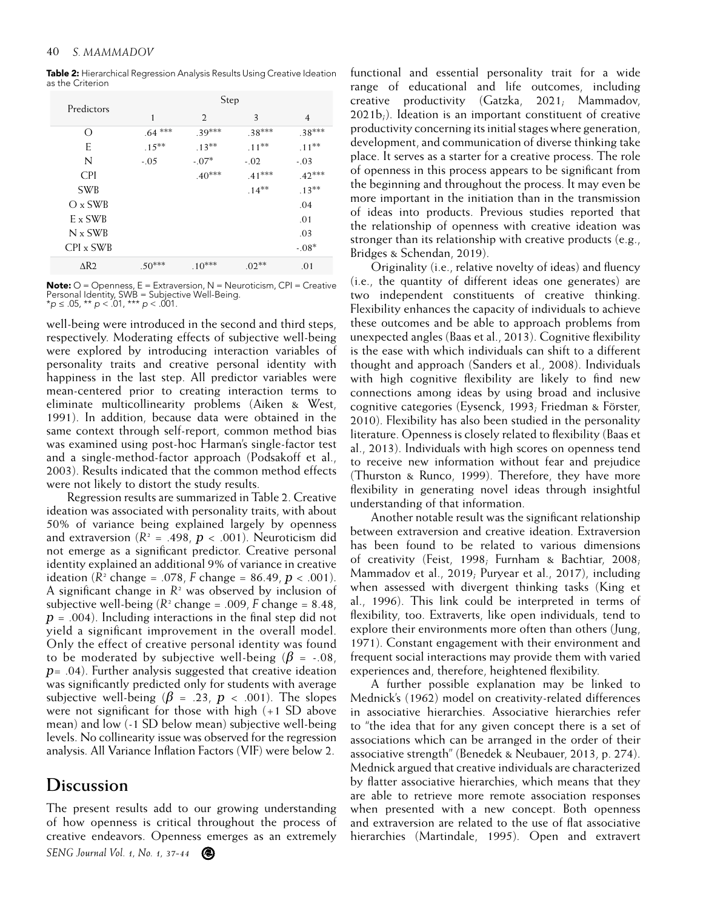Table 2: Hierarchical Regression Analysis Results Using Creative Ideation as the Criterion

|  | Predictors              | Step     |                |          |          |  |  |
|--|-------------------------|----------|----------------|----------|----------|--|--|
|  |                         | 1        | $\mathfrak{D}$ | 3        | 4        |  |  |
|  | $\left( \right)$        | .64 ***  | $.39***$       | $.38***$ | $.38***$ |  |  |
|  | E                       | $.15***$ | $.13***$       | $.11***$ | $.11***$ |  |  |
|  | N                       | $-.05$   | $-.07*$        | $-.02$   | $-.03$   |  |  |
|  | <b>CPI</b>              |          | $.40***$       | .41***   | $.42***$ |  |  |
|  | <b>SWB</b>              |          |                | $.14***$ | $.13***$ |  |  |
|  | $O \times$ SWB          |          |                |          | .04      |  |  |
|  | $E \times SWB$          |          |                |          | .01      |  |  |
|  | $N \times SWB$          |          |                |          | .03      |  |  |
|  | CPI x SWB               |          |                |          | $-.08*$  |  |  |
|  | $\Delta$ R <sub>2</sub> | $.50***$ | $.10***$       | $.02**$  | .01      |  |  |

**Note:**  $O =$  Openness,  $E =$  Extraversion,  $N =$  Neuroticism,  $CPI =$  Creative Personal Identity, SWB = Subjective Well-Being. \**p* ≤ .05, \*\* *p* < .01, \*\*\* *p* < .001.

well-being were introduced in the second and third steps, respectively. Moderating effects of subjective well-being were explored by introducing interaction variables of personality traits and creative personal identity with happiness in the last step. All predictor variables were mean-centered prior to creating interaction terms to eliminate multicollinearity problems (Aiken & West, 1991). In addition, because data were obtained in the same context through self-report, common method bias was examined using post-hoc Harman's single-factor test and a single-method-factor approach (Podsakoff et al., 2003). Results indicated that the common method effects were not likely to distort the study results.

Regression results are summarized in Table 2. Creative ideation was associated with personality traits, with about 50% of variance being explained largely by openness and extraversion  $(R^2 = .498, p < .001)$ . Neuroticism did not emerge as a significant predictor. Creative personal identity explained an additional 9% of variance in creative ideation  $(R^2 \text{ change} = .078, F \text{ change} = 86.49, p < .001)$ . A significant change in  $R<sup>2</sup>$  was observed by inclusion of subjective well-being  $(R^2 \text{ change} = .009, F \text{ change} = 8.48,$ *p* = .004). Including interactions in the final step did not yield a significant improvement in the overall model. Only the effect of creative personal identity was found to be moderated by subjective well-being ( $\beta$  = -.08, *p*= .04). Further analysis suggested that creative ideation was significantly predicted only for students with average subjective well-being ( $\beta$  = .23,  $p$  < .001). The slopes were not significant for those with high (+1 SD above mean) and low (-1 SD below mean) subjective well-being levels. No collinearity issue was observed for the regression analysis. All Variance Inflation Factors (VIF) were below 2.

### **Discussion**

*SENG Journal Vol. 1, No. 1, 37-44* The present results add to our growing understanding of how openness is critical throughout the process of creative endeavors. Openness emerges as an extremely functional and essential personality trait for a wide range of educational and life outcomes, including creative productivity (Gatzka, 2021; Mammadov, 2021b;). Ideation is an important constituent of creative productivity concerning its initial stages where generation, development, and communication of diverse thinking take place. It serves as a starter for a creative process. The role of openness in this process appears to be significant from the beginning and throughout the process. It may even be more important in the initiation than in the transmission of ideas into products. Previous studies reported that the relationship of openness with creative ideation was stronger than its relationship with creative products (e.g., Bridges & Schendan, 2019).

Originality (i.e., relative novelty of ideas) and fluency (i.e., the quantity of different ideas one generates) are two independent constituents of creative thinking. Flexibility enhances the capacity of individuals to achieve these outcomes and be able to approach problems from unexpected angles (Baas et al., 2013). Cognitive flexibility is the ease with which individuals can shift to a different thought and approach (Sanders et al., 2008). Individuals with high cognitive flexibility are likely to find new connections among ideas by using broad and inclusive cognitive categories (Eysenck, 1993; Friedman & Förster, 2010). Flexibility has also been studied in the personality literature. Openness is closely related to flexibility (Baas et al., 2013). Individuals with high scores on openness tend to receive new information without fear and prejudice (Thurston & Runco, 1999). Therefore, they have more flexibility in generating novel ideas through insightful understanding of that information.

Another notable result was the significant relationship between extraversion and creative ideation. Extraversion has been found to be related to various dimensions of creativity (Feist, 1998; Furnham & Bachtiar, 2008; Mammadov et al., 2019; Puryear et al., 2017), including when assessed with divergent thinking tasks (King et al., 1996). This link could be interpreted in terms of flexibility, too. Extraverts, like open individuals, tend to explore their environments more often than others (Jung, 1971). Constant engagement with their environment and frequent social interactions may provide them with varied experiences and, therefore, heightened flexibility.

A further possible explanation may be linked to Mednick's (1962) model on creativity-related differences in associative hierarchies. Associative hierarchies refer to "the idea that for any given concept there is a set of associations which can be arranged in the order of their associative strength" (Benedek & Neubauer, 2013, p. 274). Mednick argued that creative individuals are characterized by flatter associative hierarchies, which means that they are able to retrieve more remote association responses when presented with a new concept. Both openness and extraversion are related to the use of flat associative hierarchies (Martindale, 1995). Open and extravert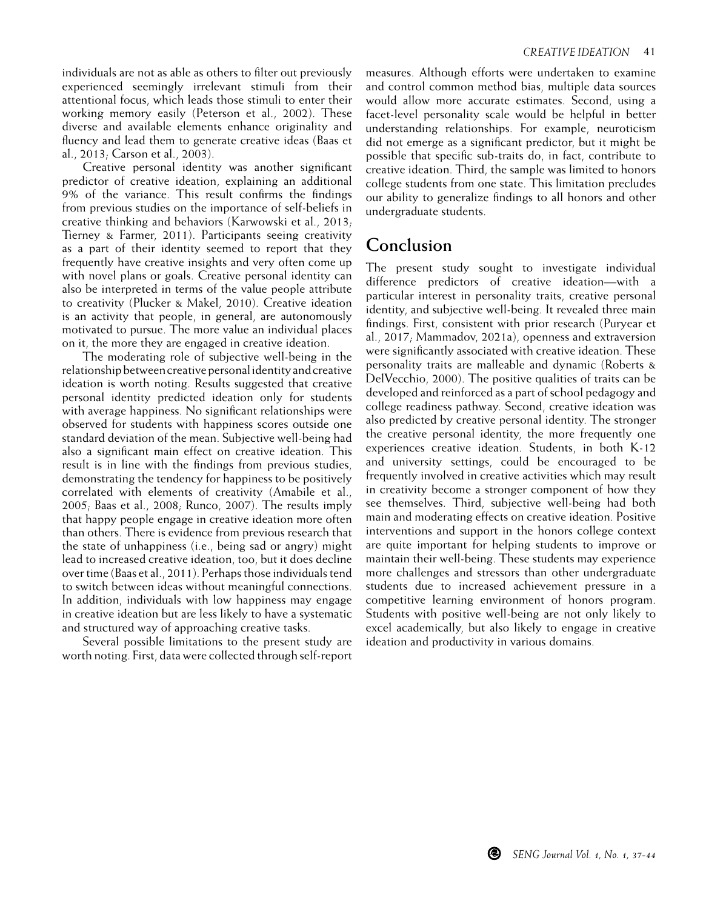individuals are not as able as others to filter out previously experienced seemingly irrelevant stimuli from their attentional focus, which leads those stimuli to enter their working memory easily (Peterson et al., 2002). These diverse and available elements enhance originality and fluency and lead them to generate creative ideas (Baas et al., 2013; Carson et al., 2003).

Creative personal identity was another significant predictor of creative ideation, explaining an additional 9% of the variance. This result confirms the findings from previous studies on the importance of self-beliefs in creative thinking and behaviors (Karwowski et al., 2013; Tierney & Farmer, 2011). Participants seeing creativity as a part of their identity seemed to report that they frequently have creative insights and very often come up with novel plans or goals. Creative personal identity can also be interpreted in terms of the value people attribute to creativity (Plucker & Makel, 2010). Creative ideation is an activity that people, in general, are autonomously motivated to pursue. The more value an individual places on it, the more they are engaged in creative ideation.

The moderating role of subjective well-being in the relationship between creative personal identity and creative ideation is worth noting. Results suggested that creative personal identity predicted ideation only for students with average happiness. No significant relationships were observed for students with happiness scores outside one standard deviation of the mean. Subjective well-being had also a significant main effect on creative ideation. This result is in line with the findings from previous studies, demonstrating the tendency for happiness to be positively correlated with elements of creativity (Amabile et al., 2005; Baas et al., 2008; Runco, 2007). The results imply that happy people engage in creative ideation more often than others. There is evidence from previous research that the state of unhappiness (i.e., being sad or angry) might lead to increased creative ideation, too, but it does decline over time (Baas et al., 2011). Perhaps those individuals tend to switch between ideas without meaningful connections. In addition, individuals with low happiness may engage in creative ideation but are less likely to have a systematic and structured way of approaching creative tasks.

Several possible limitations to the present study are worth noting. First, data were collected through self-report measures. Although efforts were undertaken to examine and control common method bias, multiple data sources would allow more accurate estimates. Second, using a facet-level personality scale would be helpful in better understanding relationships. For example, neuroticism did not emerge as a significant predictor, but it might be possible that specific sub-traits do, in fact, contribute to creative ideation. Third, the sample was limited to honors college students from one state. This limitation precludes our ability to generalize findings to all honors and other undergraduate students.

## **Conclusion**

The present study sought to investigate individual difference predictors of creative ideation—with a particular interest in personality traits, creative personal identity, and subjective well-being. It revealed three main findings. First, consistent with prior research (Puryear et al., 2017; Mammadov, 2021a), openness and extraversion were significantly associated with creative ideation. These personality traits are malleable and dynamic (Roberts & DelVecchio, 2000). The positive qualities of traits can be developed and reinforced as a part of school pedagogy and college readiness pathway. Second, creative ideation was also predicted by creative personal identity. The stronger the creative personal identity, the more frequently one experiences creative ideation. Students, in both K-12 and university settings, could be encouraged to be frequently involved in creative activities which may result in creativity become a stronger component of how they see themselves. Third, subjective well-being had both main and moderating effects on creative ideation. Positive interventions and support in the honors college context are quite important for helping students to improve or maintain their well-being. These students may experience more challenges and stressors than other undergraduate students due to increased achievement pressure in a competitive learning environment of honors program. Students with positive well-being are not only likely to excel academically, but also likely to engage in creative ideation and productivity in various domains.

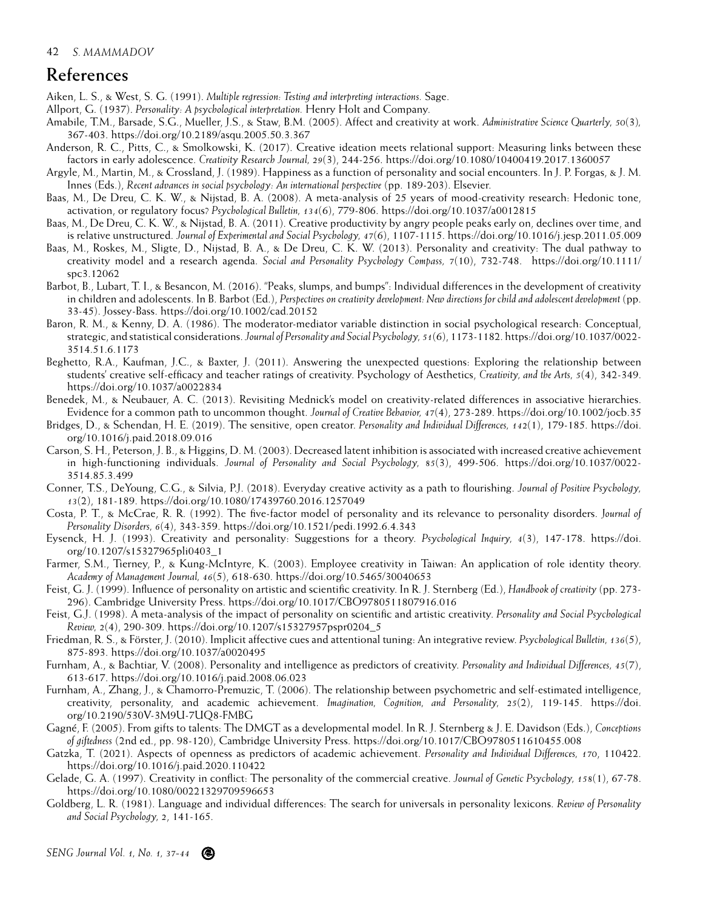## **References**

Aiken, L. S., & West, S. G. (1991). *Multiple regression: Testing and interpreting interactions.* Sage.

Allport, G. (1937). *Personality: A psychological interpretation.* Henry Holt and Company.

- Amabile, T.M., Barsade, S.G., Mueller, J.S., & Staw, B.M. (2005). Affect and creativity at work. *Administrative Science Quarterly, 50*(3)*,* 367-403. https://doi.org/10.2189/asqu.2005.50.3.367
- Anderson, R. C., Pitts, C., & Smolkowski, K. (2017). Creative ideation meets relational support: Measuring links between these factors in early adolescence. *Creativity Research Journal, 29*(3), 244-256. https://doi.org/10.1080/10400419.2017.1360057
- Argyle, M., Martin, M., & Crossland, J. (1989). Happiness as a function of personality and social encounters. In J. P. Forgas, & J. M. Innes (Eds.), *Recent advances in social psychology: An international perspective* (pp. 189-203). Elsevier.
- Baas, M., De Dreu, C. K. W., & Nijstad, B. A. (2008). A meta-analysis of 25 years of mood-creativity research: Hedonic tone, activation, or regulatory focus? *Psychological Bulletin, 134*(6), 779-806. https://doi.org/10.1037/a0012815
- Baas, M., De Dreu, C. K. W., & Nijstad, B. A. (2011). Creative productivity by angry people peaks early on, declines over time, and is relative unstructured. *Journal of Experimental and Social Psychology, 47*(6), 1107-1115. https://doi.org/10.1016/j.jesp.2011.05.009
- Baas, M., Roskes, M., Sligte, D., Nijstad, B. A., & De Dreu, C. K. W. (2013). Personality and creativity: The dual pathway to creativity model and a research agenda. *Social and Personality Psychology Compass, 7*(10), 732-748. https://doi.org/10.1111/ spc3.12062
- Barbot, B., Lubart, T. I., & Besancon, M. (2016). "Peaks, slumps, and bumps": Individual differences in the development of creativity in children and adolescents. In B. Barbot (Ed.), *Perspectives on creativity development: New directions for child and adolescent development* (pp. 33-45). Jossey-Bass. https://doi.org/10.1002/cad.20152
- Baron, R. M., & Kenny, D. A. (1986). The moderator-mediator variable distinction in social psychological research: Conceptual, strategic, and statistical considerations. *Journal of Personality and Social Psychology, 51*(6), 1173-1182. https://doi.org/10.1037/0022- 3514.51.6.1173
- Beghetto, R.A., Kaufman, J.C., & Baxter, J. (2011). Answering the unexpected questions: Exploring the relationship between students' creative self-efficacy and teacher ratings of creativity. Psychology of Aesthetics, *Creativity, and the Arts, 5*(4), 342-349. https://doi.org/10.1037/a0022834
- Benedek, M., & Neubauer, A. C. (2013). Revisiting Mednick's model on creativity-related differences in associative hierarchies. Evidence for a common path to uncommon thought. *Journal of Creative Behavior, 47*(4), 273-289. https://doi.org/10.1002/jocb.35
- Bridges, D., & Schendan, H. E. (2019). The sensitive, open creator. *Personality and Individual Differences, 142*(1), 179-185. https://doi. org/10.1016/j.paid.2018.09.016
- Carson, S. H., Peterson, J. B., & Higgins, D. M. (2003). Decreased latent inhibition is associated with increased creative achievement in high-functioning individuals. *Journal of Personality and Social Psychology, 85*(3), 499-506. https://doi.org/10.1037/0022- 3514.85.3.499
- Conner, T.S., DeYoung, C.G., & Silvia, P.J. (2018). Everyday creative activity as a path to flourishing. *Journal of Positive Psychology, 13*(2), 181-189. https://doi.org/10.1080/17439760.2016.1257049
- Costa, P. T., & McCrae, R. R. (1992). The five-factor model of personality and its relevance to personality disorders. J*ournal of Personality Disorders, 6*(4), 343-359. https://doi.org/10.1521/pedi.1992.6.4.343
- Eysenck, H. J. (1993). Creativity and personality: Suggestions for a theory. *Psychological Inquiry, 4*(3), 147-178. https://doi. org/10.1207/s15327965pli0403\_1
- Farmer, S.M., Tierney, P., & Kung-McIntyre, K. (2003). Employee creativity in Taiwan: An application of role identity theory. *Academy of Management Journal, 46*(5), 618-630. https://doi.org/10.5465/30040653
- Feist, G. J. (1999). Influence of personality on artistic and scientific creativity. In R. J. Sternberg (Ed.), *Handbook of creativity* (pp. 273- 296). Cambridge University Press. https://doi.org/10.1017/CBO9780511807916.016
- Feist, G.J. (1998). A meta-analysis of the impact of personality on scientific and artistic creativity. *Personality and Social Psychological Review, 2*(4), 290-309. https://doi.org/10.1207/s15327957pspr0204\_5
- Friedman, R. S., & Förster, J. (2010). Implicit affective cues and attentional tuning: An integrative review. *Psychological Bulletin, 136*(5), 875-893. https://doi.org/10.1037/a0020495
- Furnham, A., & Bachtiar, V. (2008). Personality and intelligence as predictors of creativity. *Personality and Individual Differences, 45*(7), 613-617. https://doi.org/10.1016/j.paid.2008.06.023
- Furnham, A., Zhang, J., & Chamorro-Premuzic, T. (2006). The relationship between psychometric and self-estimated intelligence, creativity, personality, and academic achievement. *Imagination, Cognition, and Personality, 25*(2), 119-145. https://doi. org/10.2190/530V-3M9U-7UQ8-FMBG
- Gagné, F. (2005). From gifts to talents: The DMGT as a developmental model. In R. J. Sternberg & J. E. Davidson (Eds.), *Conceptions of giftedness* (2nd ed., pp. 98-120), Cambridge University Press. https://doi.org/10.1017/CBO9780511610455.008
- Gatzka, T. (2021). Aspects of openness as predictors of academic achievement. *Personality and Individual Differences, 170*, 110422. https://doi.org/10.1016/j.paid.2020.110422
- Gelade, G. A. (1997). Creativity in conflict: The personality of the commercial creative. *Journal of Genetic Psychology, 158*(1), 67-78. https://doi.org/10.1080/00221329709596653
- Goldberg, L. R. (1981). Language and individual differences: The search for universals in personality lexicons. *Review of Personality and Social Psychology, 2*, 141-165.

*SENG Journal Vol. 1, No. 1, 37-44*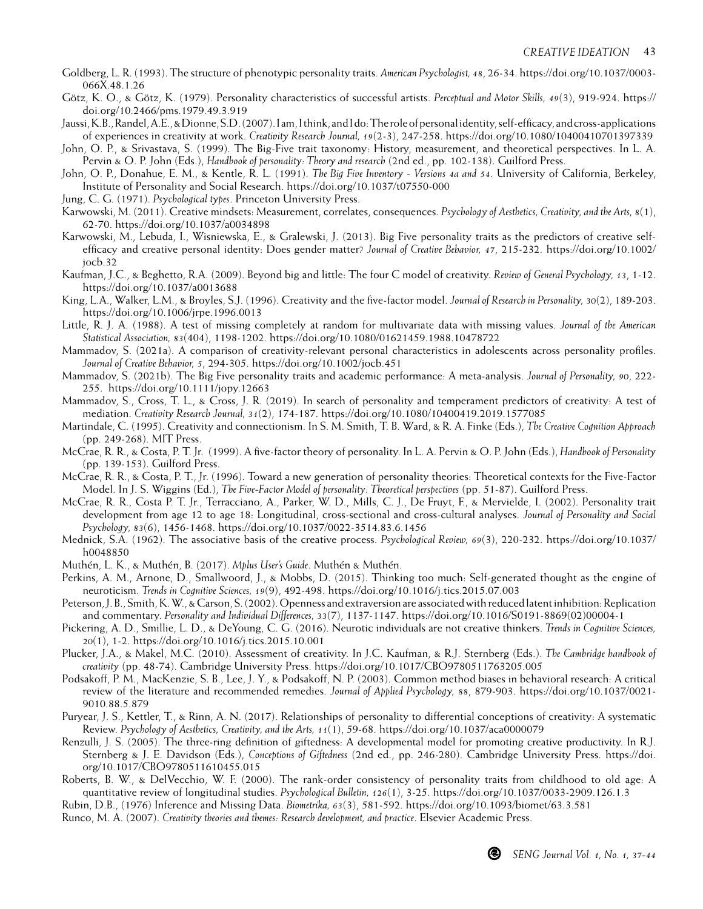- Goldberg, L. R. (1993). The structure of phenotypic personality traits. *American Psychologist, 48*, 26-34. https://doi.org/10.1037/0003- 066X.48.1.26
- Götz, K. O., & Götz, K. (1979). Personality characteristics of successful artists. *Perceptual and Motor Skills, 49*(3), 919-924. https:// doi.org/10.2466/pms.1979.49.3.919
- Jaussi, K.B., Randel, A.E., & Dionne, S.D. (2007). I am, I think, and I do: The role of personal identity, self-efficacy, and cross-applications of experiences in creativity at work. *Creativity Research Journal, 19*(2-3), 247-258. https://doi.org/10.1080/10400410701397339
- John, O. P., & Srivastava, S. (1999). The Big-Five trait taxonomy: History, measurement, and theoretical perspectives. In L. A. Pervin & O. P. John (Eds.), *Handbook of personality: Theory and research* (2nd ed., pp. 102-138). Guilford Press.
- John, O. P., Donahue, E. M., & Kentle, R. L. (1991). *The Big Five Inventory Versions 4a and 54*. University of California, Berkeley, Institute of Personality and Social Research. https://doi.org/10.1037/t07550-000
- Jung, C. G. (1971). *Psychological types*. Princeton University Press.
- Karwowski, M. (2011). Creative mindsets: Measurement, correlates, consequences. *Psychology of Aesthetics, Creativity, and the Arts, 8*(1), 62-70. https://doi.org/10.1037/a0034898
- Karwowski, M., Lebuda, I., Wisniewska, E., & Gralewski, J. (2013). Big Five personality traits as the predictors of creative selfefficacy and creative personal identity: Does gender matter? *Journal of Creative Behavior, 47*, 215-232. https://doi.org/10.1002/ jocb.32
- Kaufman, J.C., & Beghetto, R.A. (2009). Beyond big and little: The four C model of creativity. *Review of General Psychology, 13*, 1-12. https://doi.org/10.1037/a0013688
- King, L.A., Walker, L.M., & Broyles, S.J. (1996). Creativity and the five-factor model. *Journal of Research in Personality, 30*(2), 189-203. https://doi.org/10.1006/jrpe.1996.0013
- Little, R. J. A. (1988). A test of missing completely at random for multivariate data with missing values. *Journal of the American Statistical Association, 83*(404), 1198-1202. https://doi.org/10.1080/01621459.1988.10478722
- Mammadov, S. (2021a). A comparison of creativity-relevant personal characteristics in adolescents across personality profiles. *Journal of Creative Behavior, 5*, 294-305. https://doi.org/10.1002/jocb.451
- Mammadov, S. (2021b). The Big Five personality traits and academic performance: A meta-analysis. *Journal of Personality, 90*, 222- 255. https://doi.org/10.1111/jopy.12663
- Mammadov, S., Cross, T. L., & Cross, J. R. (2019). In search of personality and temperament predictors of creativity: A test of mediation. *Creativity Research Journal, 31*(2), 174-187. https://doi.org/10.1080/10400419.2019.1577085
- Martindale, C. (1995). Creativity and connectionism. In S. M. Smith, T. B. Ward, & R. A. Finke (Eds.), *The Creative Cognition Approach*  (pp. 249-268). MIT Press.
- McCrae, R. R., & Costa, P. T. Jr. (1999). A five-factor theory of personality. In L. A. Pervin & O. P. John (Eds.), *Handbook of Personality* (pp. 139-153). Guilford Press.
- McCrae, R. R., & Costa, P. T., Jr. (1996). Toward a new generation of personality theories: Theoretical contexts for the Five-Factor Model. In J. S. Wiggins (Ed.), *The Five-Factor Model of personality: Theoretical perspectives* (pp. 51-87). Guilford Press.
- McCrae, R. R., Costa P. T. Jr., Terracciano, A., Parker, W. D., Mills, C. J., De Fruyt, F., & Mervielde, I. (2002). Personality trait development from age 12 to age 18: Longitudinal, cross-sectional and cross-cultural analyses. *Journal of Personality and Social Psychology, 83*(6), 1456-1468. https://doi.org/10.1037/0022-3514.83.6.1456
- Mednick, S.A. (1962). The associative basis of the creative process. *Psychological Review, 69*(3), 220-232. https://doi.org/10.1037/ h0048850
- Muthén, L. K., & Muthén, B. (2017). *Mplus User's Guide*. Muthén & Muthén.
- Perkins, A. M., Arnone, D., Smallwoord, J., & Mobbs, D. (2015). Thinking too much: Self-generated thought as the engine of neuroticism. *Trends in Cognitive Sciences, 19*(9), 492-498. https://doi.org/10.1016/j.tics.2015.07.003
- Peterson, J. B., Smith, K. W., & Carson, S. (2002). Openness and extraversion are associated with reduced latent inhibition: Replication and commentary. *Personality and Individual Differences, 33*(7), 1137-1147. https://doi.org/10.1016/S0191-8869(02)00004-1
- Pickering, A. D., Smillie, L. D., & DeYoung, C. G. (2016). Neurotic individuals are not creative thinkers. *Trends in Cognitive Sciences, 20*(1), 1-2. https://doi.org/10.1016/j.tics.2015.10.001
- Plucker, J.A., & Makel, M.C. (2010). Assessment of creativity. In J.C. Kaufman, & R.J. Sternberg (Eds.). *The Cambridge handbook of creativity* (pp. 48-74). Cambridge University Press. https://doi.org/10.1017/CBO9780511763205.005
- Podsakoff, P. M., MacKenzie, S. B., Lee, J. Y., & Podsakoff, N. P. (2003). Common method biases in behavioral research: A critical review of the literature and recommended remedies. *Journal of Applied Psychology, 88*, 879-903. https://doi.org/10.1037/0021- 9010.88.5.879
- Puryear, J. S., Kettler, T., & Rinn, A. N. (2017). Relationships of personality to differential conceptions of creativity: A systematic Review. *Psychology of Aesthetics, Creativity, and the Arts, 11*(1), 59-68. https://doi.org/10.1037/aca0000079
- Renzulli, J. S. (2005). The three-ring definition of giftedness: A developmental model for promoting creative productivity. In R.J. Sternberg & J. E. Davidson (Eds.), *Conceptions of Giftedness* (2nd ed., pp. 246-280). Cambridge University Press. https://doi. org/10.1017/CBO9780511610455.015
- Roberts, B. W., & DelVecchio, W. F. (2000). The rank-order consistency of personality traits from childhood to old age: A quantitative review of longitudinal studies. *Psychological Bulletin, 126*(1), 3-25. https://doi.org/10.1037/0033-2909.126.1.3
- Rubin, D.B., (1976) Inference and Missing Data. *Biometrika, 63*(3), 581-592. https://doi.org/10.1093/biomet/63.3.581
- Runco, M. A. (2007). *Creativity theories and themes: Research development, and practice*. Elsevier Academic Press.